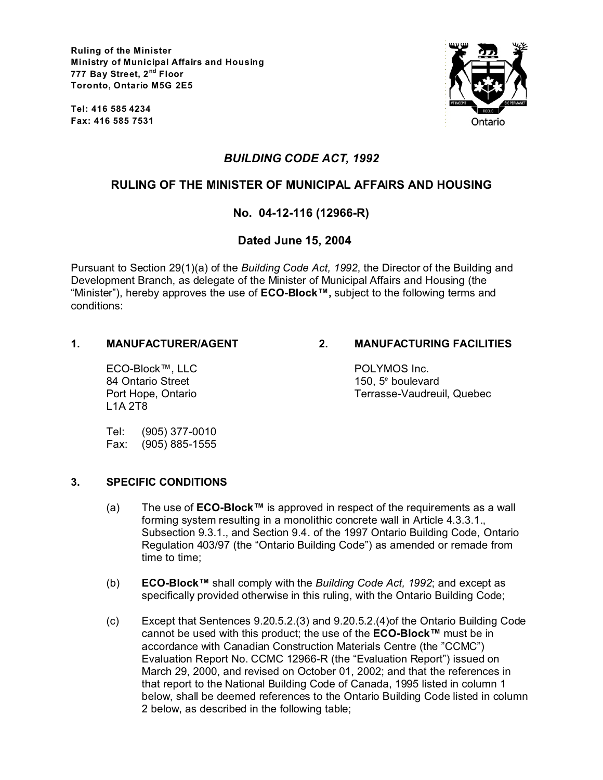**Ruling of the Minister Ministry of Municipal Affairs and Housing 777 Bay Street, 2nd Floor Toronto, Ontario M5G 2E5**

**Tel: 416 585 4234 Fax: 416 585 7531**



# *BUILDING CODE ACT, 1992*

# **RULING OF THE MINISTER OF MUNICIPAL AFFAIRS AND HOUSING**

# **No. 04-12-116 (12966-R)**

## **Dated June 15, 2004**

Pursuant to Section 29(1)(a) of the *Building Code Act, 1992*, the Director of the Building and Development Branch, as delegate of the Minister of Municipal Affairs and Housing (the "Minister"), hereby approves the use of **ECO-Block™,** subject to the following terms and conditions:

ECO-Block™, LLC POLYMOS Inc. 84 Ontario Street L1A 2T8

## **1. MANUFACTURER/AGENT 2. MANUFACTURING FACILITIES**

150.  $5^{\circ}$  boulevard Port Hope, Ontario Terrasse-Vaudreuil, Quebec

Tel: (905) 377-0010 Fax: (905) 885-1555

### **3. SPECIFIC CONDITIONS**

- (a) The use of **ECO-Block™** is approved in respect of the requirements as a wall forming system resulting in a monolithic concrete wall in Article 4.3.3.1., Subsection 9.3.1., and Section 9.4. of the 1997 Ontario Building Code, Ontario Regulation 403/97 (the "Ontario Building Code") as amended or remade from time to time;
- (b) **ECO-Block™** shall comply with the *Building Code Act, 1992*; and except as specifically provided otherwise in this ruling, with the Ontario Building Code;
- (c) Except that Sentences 9.20.5.2.(3) and 9.20.5.2.(4)of the Ontario Building Code cannot be used with this product; the use of the **ECO-Block™** must be in accordance with Canadian Construction Materials Centre (the "CCMC") Evaluation Report No. CCMC 12966-R (the "Evaluation Report") issued on March 29, 2000, and revised on October 01, 2002; and that the references in that report to the National Building Code of Canada, 1995 listed in column 1 below, shall be deemed references to the Ontario Building Code listed in column 2 below, as described in the following table;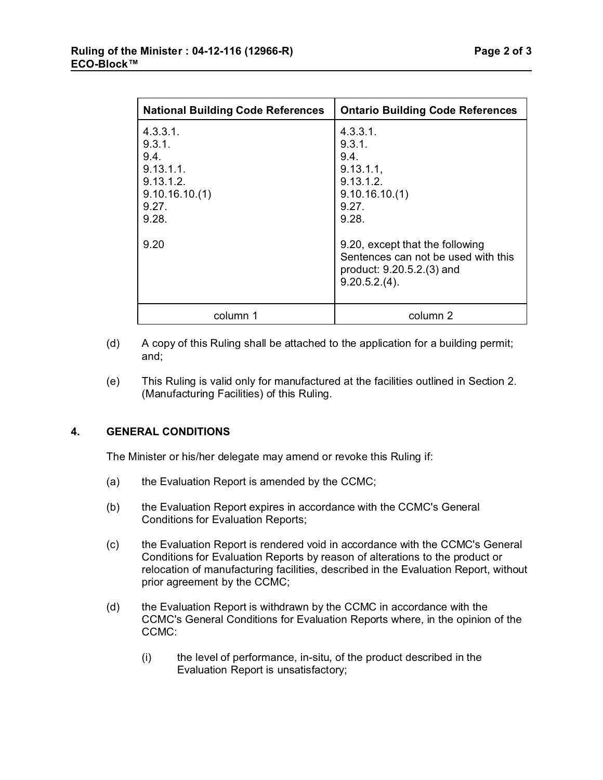| <b>National Building Code References</b>                                              | <b>Ontario Building Code References</b>                                                                                |
|---------------------------------------------------------------------------------------|------------------------------------------------------------------------------------------------------------------------|
| 4.3.3.1.<br>9.3.1<br>9.4.<br>9.13.1.1.<br>9.13.1.2<br>9.10.16.10(1)<br>9.27.<br>9.28. | 4.3.3.1.<br>9.3.1<br>9.4.<br>9.13.1.1,<br>9.13.1.2.<br>9.10.16.10(1)<br>9.27.<br>9.28.                                 |
| 9.20                                                                                  | 9.20, except that the following<br>Sentences can not be used with this<br>product: 9.20.5.2.(3) and<br>$9.20.5.2(4)$ . |
| column 1                                                                              | column 2                                                                                                               |

- (d) A copy of this Ruling shall be attached to the application for a building permit; and;
- (e) This Ruling is valid only for manufactured at the facilities outlined in Section 2. (Manufacturing Facilities) of this Ruling.

### **4. GENERAL CONDITIONS**

**ECO-Block™** 

The Minister or his/her delegate may amend or revoke this Ruling if:

- (a) the Evaluation Report is amended by the CCMC;
- (b) the Evaluation Report expires in accordance with the CCMC's General Conditions for Evaluation Reports;
- (c) the Evaluation Report is rendered void in accordance with the CCMC's General Conditions for Evaluation Reports by reason of alterations to the product or relocation of manufacturing facilities, described in the Evaluation Report, without prior agreement by the CCMC;
- (d) the Evaluation Report is withdrawn by the CCMC in accordance with the CCMC's General Conditions for Evaluation Reports where, in the opinion of the CCMC:
	- (i) the level of performance, in-situ, of the product described in the Evaluation Report is unsatisfactory;